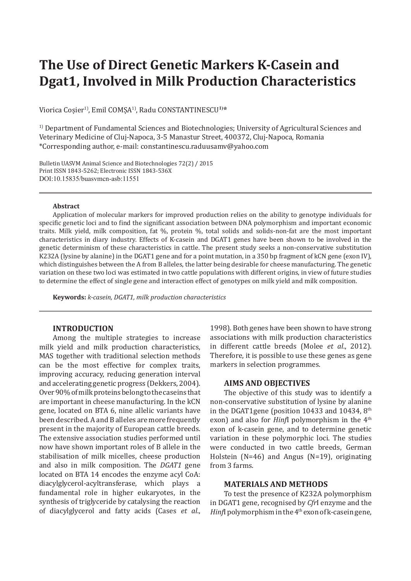# **The Use of Direct Genetic Markers K-Casein and Dgat1, Involved in Milk Production Characteristics**

Viorica Cosier<sup>1)</sup>, Emil COMSA<sup>1</sup><sup>)</sup>, Radu CONSTANTINESCU<sup>1</sup><sup>)\*</sup>

1) Department of Fundamental Sciences and Biotechnologies; University of Agricultural Sciences and Veterinary Medicine of Cluj-Napoca, 3-5 Manastur Street, 400372, Cluj-Napoca, Romania \*Corresponding author, e-mail: constantinescu.raduusamv@yahoo.com

Bulletin UASVM Animal Science and Biotechnologies 72(2) / 2015 Print ISSN 1843-5262; Electronic ISSN 1843-536X DOI:10.15835/buasvmcn-asb:11551

#### **Abstract**

Application of molecular markers for improved production relies on the ability to genotype individuals for specific genetic loci and to find the significant association between DNA polymorphism and important economic traits. Milk yield, milk composition, fat %, protein %, total solids and solids-non-fat are the most important characteristics in diary industry. Effects of K-casein and DGAT1 genes have been shown to be involved in the genetic determinism of these characteristics in cattle. The present study seeks a non-conservative substitution K232A (lysine by alanine) in the DGAT1 gene and for a point mutation, in a 350 bp fragment of kCN gene (exon IV), which distinguishes between the A from B alleles, the latter being desirable for cheese manufacturing. The genetic variation on these two loci was estimated in two cattle populations with different origins, in view of future studies to determine the effect of single gene and interaction effect of genotypes on milk yield and milk composition.

**Keywords:** *k-casein, DGAT1, milk production characteristics*

# **INTRODUCTION**

Among the multiple strategies to increase milk yield and milk production characteristics, MAS together with traditional selection methods can be the most effective for complex traits, improving accuracy, reducing generation interval and accelerating genetic progress (Dekkers, 2004). Over 90% of milk proteins belong to the caseins that are important in cheese manufacturing. In the kCN gene, located on BTA 6, nine allelic variants have been described. A and B alleles are more frequently present in the majority of European cattle breeds. The extensive association studies performed until now have shown important roles of B allele in the stabilisation of milk micelles, cheese production and also in milk composition. The *DGAT1* gene located on BTA 14 encodes the enzyme acyl CoA: diacylglycerol-acyltransferase, which plays a fundamental role in higher eukaryotes, in the synthesis of triglyceride by catalysing the reaction of diacylglycerol and fatty acids (Cases *et al*.,

1998). Both genes have been shown to have strong associations with milk production characteristics in different cattle breeds (Molee *et al*., 2012). Therefore, it is possible to use these genes as gene markers in selection programmes.

### **AIMS AND OBJECTIVES**

The objective of this study was to identify a non-conservative substitution of lysine by alanine in the DGAT1gene (position 10433 and 10434,  $8<sup>th</sup>$ exon) and also for *Hinfl* polymorphism in the 4<sup>th</sup> exon of k-casein gene, and to determine genetic variation in these polymorphic loci. The studies were conducted in two cattle breeds, German Holstein (N=46) and Angus (N=19), originating from 3 farms.

## **MATERIALS AND METHODS**

To test the presence of K232A polymorphism in DGAT1 gene, recognised by *Cfr*I enzyme and the *Hinf*I polymorphism in the  $4<sup>th</sup>$  exon of k-casein gene,